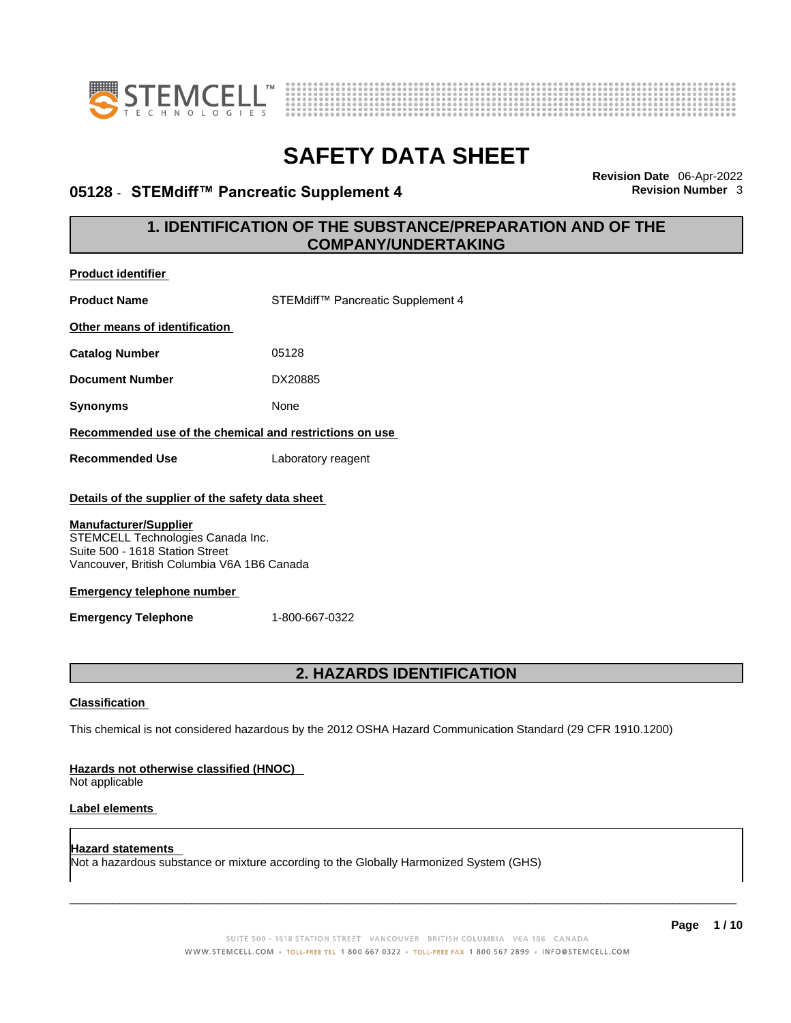



## **05128 · STEMdiff™ Pancreatic Supplement 4**

**Revision Date** 06-Apr-2022

## **1. IDENTIFICATION OF THE SUBSTANCE/PREPARATION AND OF THE COMPANY/UNDERTAKING**

| <b>Product identifier</b>                                                                                                                          |                                                                                        |  |  |
|----------------------------------------------------------------------------------------------------------------------------------------------------|----------------------------------------------------------------------------------------|--|--|
| <b>Product Name</b>                                                                                                                                | STEMdiff™ Pancreatic Supplement 4                                                      |  |  |
| Other means of identification                                                                                                                      |                                                                                        |  |  |
| <b>Catalog Number</b>                                                                                                                              | 05128                                                                                  |  |  |
| <b>Document Number</b>                                                                                                                             | DX20885                                                                                |  |  |
| <b>Synonyms</b>                                                                                                                                    | None                                                                                   |  |  |
| Recommended use of the chemical and restrictions on use                                                                                            |                                                                                        |  |  |
| <b>Recommended Use</b>                                                                                                                             | Laboratory reagent                                                                     |  |  |
|                                                                                                                                                    | Details of the supplier of the safety data sheet                                       |  |  |
| <b>Manufacturer/Supplier</b><br>STEMCELL Technologies Canada Inc.<br>Suite 500 - 1618 Station Street<br>Vancouver, British Columbia V6A 1B6 Canada |                                                                                        |  |  |
| <b>Emergency telephone number</b>                                                                                                                  |                                                                                        |  |  |
| <b>Emergency Telephone</b>                                                                                                                         | 1-800-667-0322                                                                         |  |  |
|                                                                                                                                                    |                                                                                        |  |  |
|                                                                                                                                                    | 2. HAZARDS IDENTIFICATION                                                              |  |  |
| <b>Classification</b>                                                                                                                              |                                                                                        |  |  |
| This chemical is not considered hazardous by the 2012 OSHA Hazard Communication Standard (29 CFR 1910.1200)                                        |                                                                                        |  |  |
| Hazards not otherwise classified (HNOC)<br>Not applicable                                                                                          |                                                                                        |  |  |
| Label elements                                                                                                                                     |                                                                                        |  |  |
| <b>Hazard statements</b>                                                                                                                           | Not a hazardous substance or mixture according to the Globally Harmonized System (GHS) |  |  |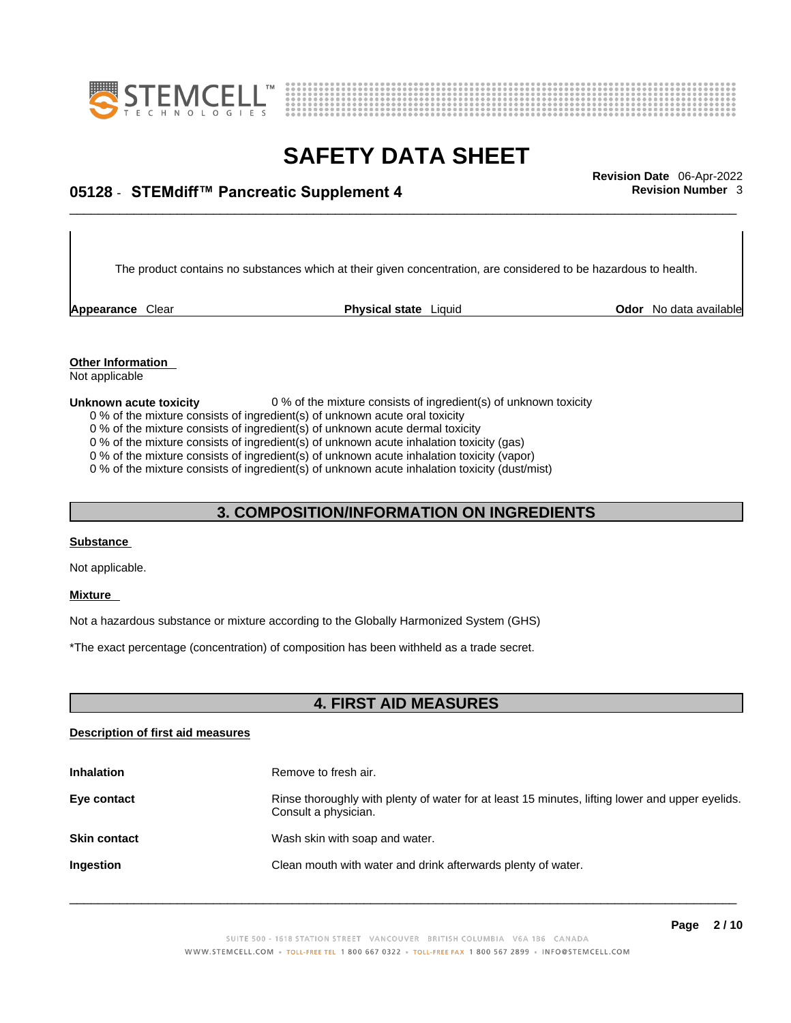



\_\_\_\_\_\_\_\_\_\_\_\_\_\_\_\_\_\_\_\_\_\_\_\_\_\_\_\_\_\_\_\_\_\_\_\_\_\_\_\_\_\_\_\_\_\_\_\_\_\_\_\_\_\_\_\_\_\_\_\_\_\_\_\_\_\_\_\_\_\_\_\_\_\_\_\_\_\_\_\_\_\_\_\_\_\_\_\_\_\_\_\_\_ **Revision Date** 06-Apr-2022 **05128** - **STEMdiff™ Pancreatic Supplement 4 Revision Number** 3

**Appearance** Clear **Physical state** Liquid

The product contains no substances which at their given concentration, are considered to be hazardous to health.

**Odor** No data available

**Other Information** 

### Not applicable

### **Unknown acute toxicity** 0 % of the mixture consists of ingredient(s) of unknown toxicity

- 0 % of the mixture consists of ingredient(s) of unknown acute oral toxicity
- 0 % of the mixture consists of ingredient(s) of unknown acute dermal toxicity
- 0 % of the mixture consists of ingredient(s) of unknown acute inhalation toxicity (gas)
- 0 % of the mixture consists of ingredient(s) of unknown acute inhalation toxicity (vapor)

0 % of the mixture consists of ingredient(s) of unknown acute inhalation toxicity (dust/mist)

## **3. COMPOSITION/INFORMATION ON INGREDIENTS**

### **Substance**

Not applicable.

#### **Mixture**

Not a hazardous substance or mixture according to the Globally Harmonized System (GHS)

\*The exact percentage (concentration) of composition has been withheld as a trade secret.

### **4. FIRST AID MEASURES**

#### **Description of first aid measures**

| <b>Inhalation</b>   | Remove to fresh air.                                                                                                    |
|---------------------|-------------------------------------------------------------------------------------------------------------------------|
| Eye contact         | Rinse thoroughly with plenty of water for at least 15 minutes, lifting lower and upper eyelids.<br>Consult a physician. |
| <b>Skin contact</b> | Wash skin with soap and water.                                                                                          |
| Ingestion           | Clean mouth with water and drink afterwards plenty of water.                                                            |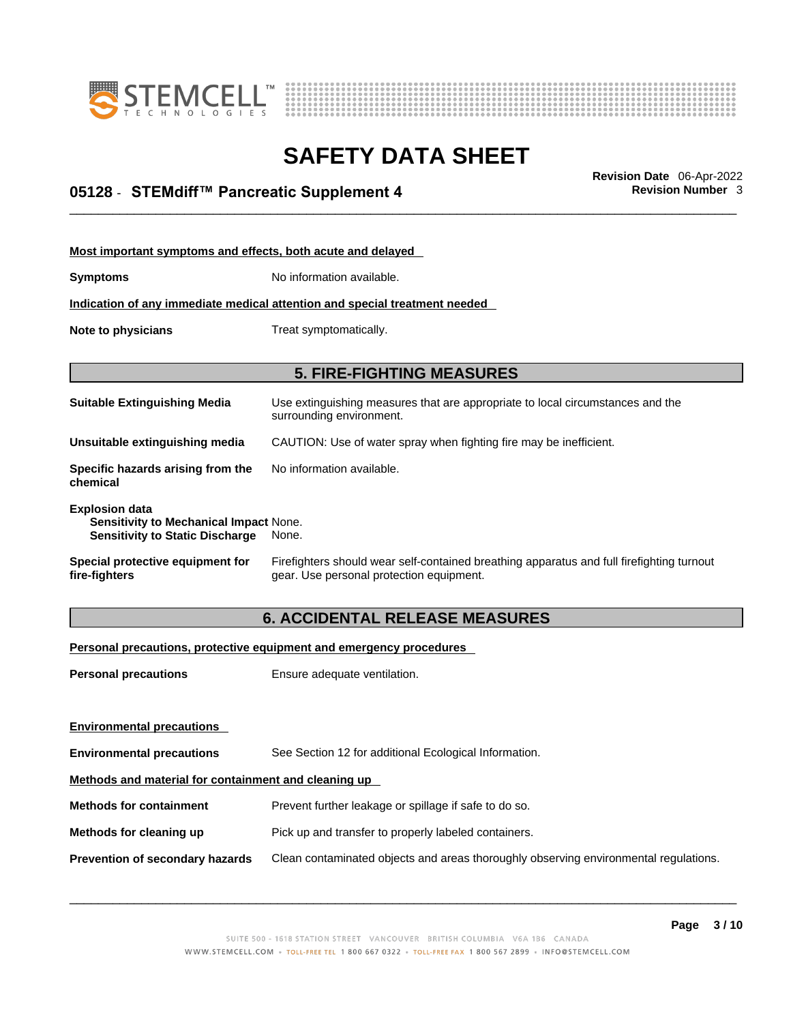



## \_\_\_\_\_\_\_\_\_\_\_\_\_\_\_\_\_\_\_\_\_\_\_\_\_\_\_\_\_\_\_\_\_\_\_\_\_\_\_\_\_\_\_\_\_\_\_\_\_\_\_\_\_\_\_\_\_\_\_\_\_\_\_\_\_\_\_\_\_\_\_\_\_\_\_\_\_\_\_\_\_\_\_\_\_\_\_\_\_\_\_\_\_ **Revision Date** 06-Apr-2022 **05128** - **STEMdiff™ Pancreatic Supplement 4 Revision Number** 3

| Most important symptoms and effects, both acute and delayed                                                      |                                                                                                                                       |
|------------------------------------------------------------------------------------------------------------------|---------------------------------------------------------------------------------------------------------------------------------------|
| <b>Symptoms</b>                                                                                                  | No information available.                                                                                                             |
|                                                                                                                  | Indication of any immediate medical attention and special treatment needed                                                            |
| Note to physicians                                                                                               | Treat symptomatically.                                                                                                                |
|                                                                                                                  | <b>5. FIRE-FIGHTING MEASURES</b>                                                                                                      |
|                                                                                                                  |                                                                                                                                       |
| <b>Suitable Extinguishing Media</b>                                                                              | Use extinguishing measures that are appropriate to local circumstances and the<br>surrounding environment.                            |
| Unsuitable extinguishing media                                                                                   | CAUTION: Use of water spray when fighting fire may be inefficient.                                                                    |
| Specific hazards arising from the<br>chemical                                                                    | No information available.                                                                                                             |
| <b>Explosion data</b><br><b>Sensitivity to Mechanical Impact None.</b><br><b>Sensitivity to Static Discharge</b> | None.                                                                                                                                 |
| Special protective equipment for<br>fire-fighters                                                                | Firefighters should wear self-contained breathing apparatus and full firefighting turnout<br>gear. Use personal protection equipment. |

## **6. ACCIDENTAL RELEASE MEASURES**

### **Personal precautions, protective equipment and emergency procedures**

| <b>Personal precautions</b>                          | Ensure adequate ventilation.                                                         |  |
|------------------------------------------------------|--------------------------------------------------------------------------------------|--|
| <b>Environmental precautions</b>                     |                                                                                      |  |
| <b>Environmental precautions</b>                     | See Section 12 for additional Ecological Information.                                |  |
| Methods and material for containment and cleaning up |                                                                                      |  |
| <b>Methods for containment</b>                       | Prevent further leakage or spillage if safe to do so.                                |  |
| Methods for cleaning up                              | Pick up and transfer to properly labeled containers.                                 |  |
| Prevention of secondary hazards                      | Clean contaminated objects and areas thoroughly observing environmental regulations. |  |
|                                                      |                                                                                      |  |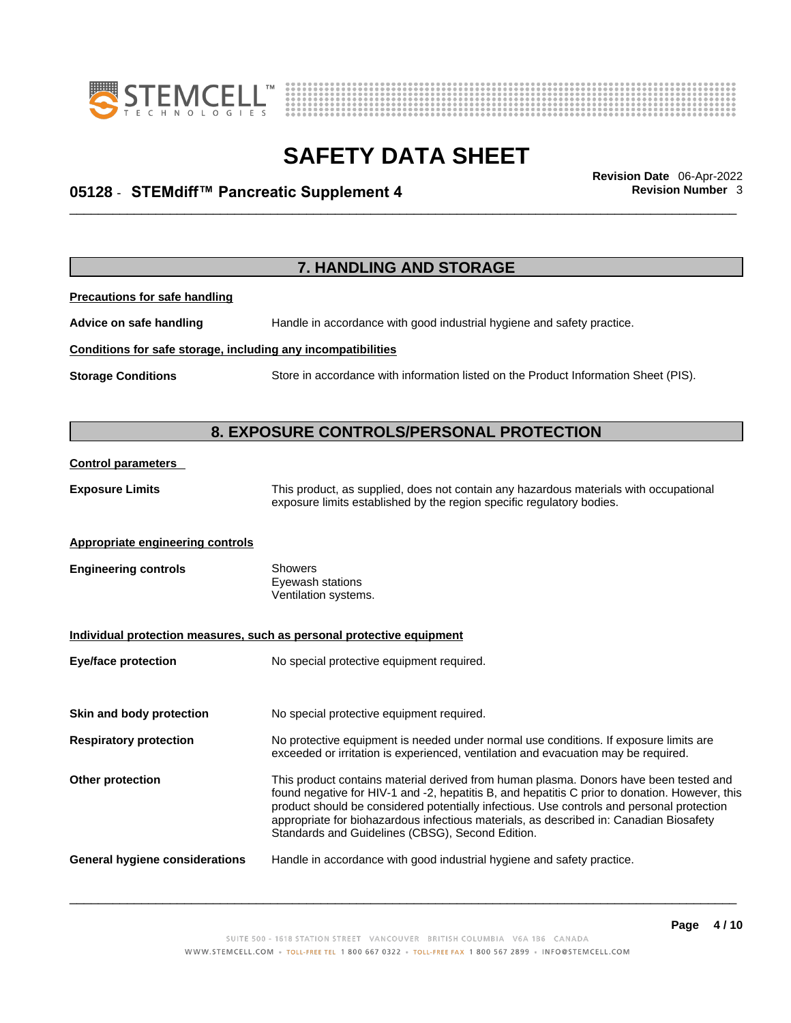



## \_\_\_\_\_\_\_\_\_\_\_\_\_\_\_\_\_\_\_\_\_\_\_\_\_\_\_\_\_\_\_\_\_\_\_\_\_\_\_\_\_\_\_\_\_\_\_\_\_\_\_\_\_\_\_\_\_\_\_\_\_\_\_\_\_\_\_\_\_\_\_\_\_\_\_\_\_\_\_\_\_\_\_\_\_\_\_\_\_\_\_\_\_ **Revision Date** 06-Apr-2022 **05128** - **STEMdiff™ Pancreatic Supplement 4 Revision Number** 3

| 7. HANDLING AND STORAGE                                      |                                                                                                                                                                                                                                                                                                                                                                                                                                    |  |
|--------------------------------------------------------------|------------------------------------------------------------------------------------------------------------------------------------------------------------------------------------------------------------------------------------------------------------------------------------------------------------------------------------------------------------------------------------------------------------------------------------|--|
| <b>Precautions for safe handling</b>                         |                                                                                                                                                                                                                                                                                                                                                                                                                                    |  |
| Advice on safe handling                                      | Handle in accordance with good industrial hygiene and safety practice.                                                                                                                                                                                                                                                                                                                                                             |  |
| Conditions for safe storage, including any incompatibilities |                                                                                                                                                                                                                                                                                                                                                                                                                                    |  |
| <b>Storage Conditions</b>                                    | Store in accordance with information listed on the Product Information Sheet (PIS).                                                                                                                                                                                                                                                                                                                                                |  |
|                                                              | 8. EXPOSURE CONTROLS/PERSONAL PROTECTION                                                                                                                                                                                                                                                                                                                                                                                           |  |
| <b>Control parameters</b>                                    |                                                                                                                                                                                                                                                                                                                                                                                                                                    |  |
| <b>Exposure Limits</b>                                       | This product, as supplied, does not contain any hazardous materials with occupational<br>exposure limits established by the region specific regulatory bodies.                                                                                                                                                                                                                                                                     |  |
| <b>Appropriate engineering controls</b>                      |                                                                                                                                                                                                                                                                                                                                                                                                                                    |  |
| <b>Engineering controls</b>                                  | Showers<br>Eyewash stations<br>Ventilation systems.                                                                                                                                                                                                                                                                                                                                                                                |  |
|                                                              | Individual protection measures, such as personal protective equipment                                                                                                                                                                                                                                                                                                                                                              |  |
| <b>Eye/face protection</b>                                   | No special protective equipment required.                                                                                                                                                                                                                                                                                                                                                                                          |  |
| Skin and body protection                                     | No special protective equipment required.                                                                                                                                                                                                                                                                                                                                                                                          |  |
| <b>Respiratory protection</b>                                | No protective equipment is needed under normal use conditions. If exposure limits are<br>exceeded or irritation is experienced, ventilation and evacuation may be required.                                                                                                                                                                                                                                                        |  |
| Other protection                                             | This product contains material derived from human plasma. Donors have been tested and<br>found negative for HIV-1 and -2, hepatitis B, and hepatitis C prior to donation. However, this<br>product should be considered potentially infectious. Use controls and personal protection<br>appropriate for biohazardous infectious materials, as described in: Canadian Biosafety<br>Standards and Guidelines (CBSG), Second Edition. |  |
| <b>General hygiene considerations</b>                        | Handle in accordance with good industrial hygiene and safety practice.                                                                                                                                                                                                                                                                                                                                                             |  |
|                                                              |                                                                                                                                                                                                                                                                                                                                                                                                                                    |  |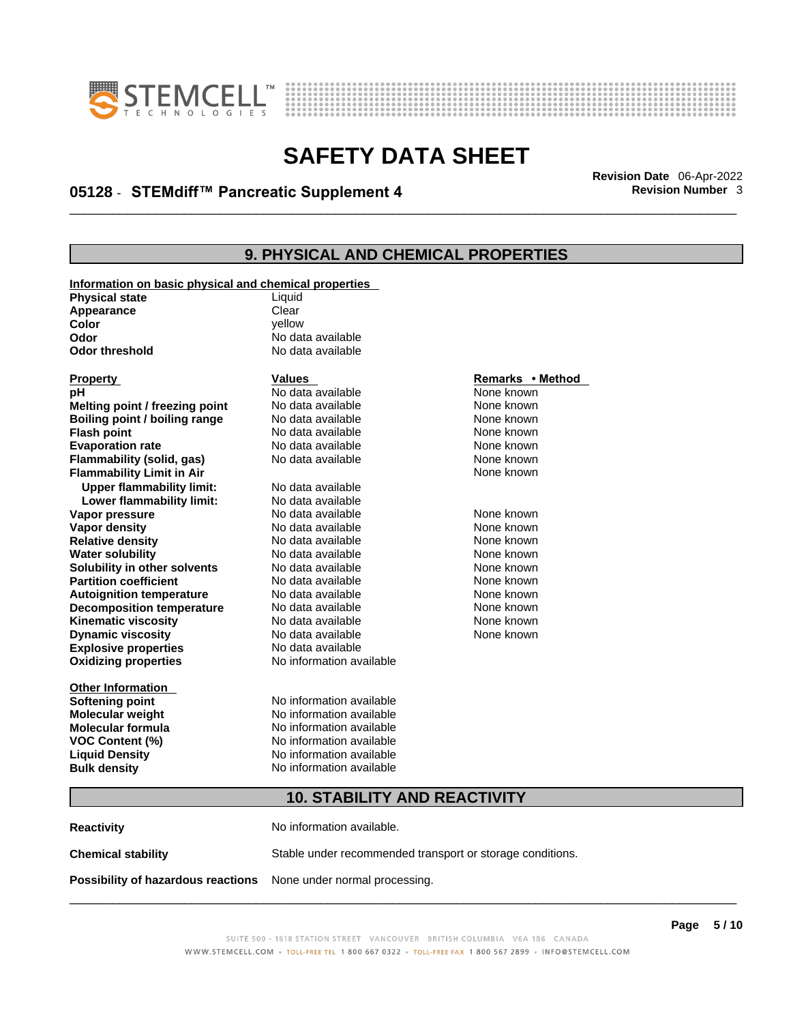



## \_\_\_\_\_\_\_\_\_\_\_\_\_\_\_\_\_\_\_\_\_\_\_\_\_\_\_\_\_\_\_\_\_\_\_\_\_\_\_\_\_\_\_\_\_\_\_\_\_\_\_\_\_\_\_\_\_\_\_\_\_\_\_\_\_\_\_\_\_\_\_\_\_\_\_\_\_\_\_\_\_\_\_\_\_\_\_\_\_\_\_\_\_ **Revision Date** 06-Apr-2022 **05128** - **STEMdiff™ Pancreatic Supplement 4 Revision Number** 3

## **9. PHYSICAL AND CHEMICAL PROPERTIES**

| Liquid<br><b>Physical state</b><br>Clear<br>Appearance<br>Color<br>vellow<br>No data available<br>Odor<br>No data available<br><b>Odor threshold</b><br><b>Values</b><br>Remarks • Method<br><b>Property</b><br>No data available<br>None known<br>рH<br>Melting point / freezing point<br>No data available<br>None known<br>Boiling point / boiling range<br>No data available<br>None known<br>No data available<br>None known<br><b>Flash point</b><br><b>Evaporation rate</b><br>No data available<br>None known<br>Flammability (solid, gas)<br>No data available<br>None known<br><b>Flammability Limit in Air</b><br>None known<br><b>Upper flammability limit:</b><br>No data available<br>Lower flammability limit:<br>No data available<br>None known<br>Vapor pressure<br>No data available<br>None known<br>No data available<br>Vapor density<br>No data available<br>None known<br><b>Relative density</b><br>No data available<br>None known<br><b>Water solubility</b><br>Solubility in other solvents<br>No data available<br>None known<br><b>Partition coefficient</b><br>No data available<br>None known<br>No data available<br>None known<br><b>Autoignition temperature</b><br>None known<br><b>Decomposition temperature</b><br>No data available<br><b>Kinematic viscosity</b><br>No data available<br>None known<br><b>Dynamic viscosity</b><br>No data available<br>None known<br><b>Explosive properties</b><br>No data available<br><b>Oxidizing properties</b><br>No information available<br><b>Other Information</b><br>No information available<br><b>Softening point</b><br>No information available<br><b>Molecular weight</b><br><b>Molecular formula</b><br>No information available<br>No information available<br>VOC Content (%)<br>No information available<br><b>Liquid Density</b><br>No information available<br><b>Bulk density</b><br><b>10. STABILITY AND REACTIVITY</b> | Information on basic physical and chemical properties |  |  |  |
|--------------------------------------------------------------------------------------------------------------------------------------------------------------------------------------------------------------------------------------------------------------------------------------------------------------------------------------------------------------------------------------------------------------------------------------------------------------------------------------------------------------------------------------------------------------------------------------------------------------------------------------------------------------------------------------------------------------------------------------------------------------------------------------------------------------------------------------------------------------------------------------------------------------------------------------------------------------------------------------------------------------------------------------------------------------------------------------------------------------------------------------------------------------------------------------------------------------------------------------------------------------------------------------------------------------------------------------------------------------------------------------------------------------------------------------------------------------------------------------------------------------------------------------------------------------------------------------------------------------------------------------------------------------------------------------------------------------------------------------------------------------------------------------------------------------------------------------------------------------------------------------------------------------------------|-------------------------------------------------------|--|--|--|
|                                                                                                                                                                                                                                                                                                                                                                                                                                                                                                                                                                                                                                                                                                                                                                                                                                                                                                                                                                                                                                                                                                                                                                                                                                                                                                                                                                                                                                                                                                                                                                                                                                                                                                                                                                                                                                                                                                                          |                                                       |  |  |  |
|                                                                                                                                                                                                                                                                                                                                                                                                                                                                                                                                                                                                                                                                                                                                                                                                                                                                                                                                                                                                                                                                                                                                                                                                                                                                                                                                                                                                                                                                                                                                                                                                                                                                                                                                                                                                                                                                                                                          |                                                       |  |  |  |
|                                                                                                                                                                                                                                                                                                                                                                                                                                                                                                                                                                                                                                                                                                                                                                                                                                                                                                                                                                                                                                                                                                                                                                                                                                                                                                                                                                                                                                                                                                                                                                                                                                                                                                                                                                                                                                                                                                                          |                                                       |  |  |  |
|                                                                                                                                                                                                                                                                                                                                                                                                                                                                                                                                                                                                                                                                                                                                                                                                                                                                                                                                                                                                                                                                                                                                                                                                                                                                                                                                                                                                                                                                                                                                                                                                                                                                                                                                                                                                                                                                                                                          |                                                       |  |  |  |
|                                                                                                                                                                                                                                                                                                                                                                                                                                                                                                                                                                                                                                                                                                                                                                                                                                                                                                                                                                                                                                                                                                                                                                                                                                                                                                                                                                                                                                                                                                                                                                                                                                                                                                                                                                                                                                                                                                                          |                                                       |  |  |  |
|                                                                                                                                                                                                                                                                                                                                                                                                                                                                                                                                                                                                                                                                                                                                                                                                                                                                                                                                                                                                                                                                                                                                                                                                                                                                                                                                                                                                                                                                                                                                                                                                                                                                                                                                                                                                                                                                                                                          |                                                       |  |  |  |
|                                                                                                                                                                                                                                                                                                                                                                                                                                                                                                                                                                                                                                                                                                                                                                                                                                                                                                                                                                                                                                                                                                                                                                                                                                                                                                                                                                                                                                                                                                                                                                                                                                                                                                                                                                                                                                                                                                                          |                                                       |  |  |  |
|                                                                                                                                                                                                                                                                                                                                                                                                                                                                                                                                                                                                                                                                                                                                                                                                                                                                                                                                                                                                                                                                                                                                                                                                                                                                                                                                                                                                                                                                                                                                                                                                                                                                                                                                                                                                                                                                                                                          |                                                       |  |  |  |
|                                                                                                                                                                                                                                                                                                                                                                                                                                                                                                                                                                                                                                                                                                                                                                                                                                                                                                                                                                                                                                                                                                                                                                                                                                                                                                                                                                                                                                                                                                                                                                                                                                                                                                                                                                                                                                                                                                                          |                                                       |  |  |  |
|                                                                                                                                                                                                                                                                                                                                                                                                                                                                                                                                                                                                                                                                                                                                                                                                                                                                                                                                                                                                                                                                                                                                                                                                                                                                                                                                                                                                                                                                                                                                                                                                                                                                                                                                                                                                                                                                                                                          |                                                       |  |  |  |
|                                                                                                                                                                                                                                                                                                                                                                                                                                                                                                                                                                                                                                                                                                                                                                                                                                                                                                                                                                                                                                                                                                                                                                                                                                                                                                                                                                                                                                                                                                                                                                                                                                                                                                                                                                                                                                                                                                                          |                                                       |  |  |  |
|                                                                                                                                                                                                                                                                                                                                                                                                                                                                                                                                                                                                                                                                                                                                                                                                                                                                                                                                                                                                                                                                                                                                                                                                                                                                                                                                                                                                                                                                                                                                                                                                                                                                                                                                                                                                                                                                                                                          |                                                       |  |  |  |
|                                                                                                                                                                                                                                                                                                                                                                                                                                                                                                                                                                                                                                                                                                                                                                                                                                                                                                                                                                                                                                                                                                                                                                                                                                                                                                                                                                                                                                                                                                                                                                                                                                                                                                                                                                                                                                                                                                                          |                                                       |  |  |  |
|                                                                                                                                                                                                                                                                                                                                                                                                                                                                                                                                                                                                                                                                                                                                                                                                                                                                                                                                                                                                                                                                                                                                                                                                                                                                                                                                                                                                                                                                                                                                                                                                                                                                                                                                                                                                                                                                                                                          |                                                       |  |  |  |
|                                                                                                                                                                                                                                                                                                                                                                                                                                                                                                                                                                                                                                                                                                                                                                                                                                                                                                                                                                                                                                                                                                                                                                                                                                                                                                                                                                                                                                                                                                                                                                                                                                                                                                                                                                                                                                                                                                                          |                                                       |  |  |  |
|                                                                                                                                                                                                                                                                                                                                                                                                                                                                                                                                                                                                                                                                                                                                                                                                                                                                                                                                                                                                                                                                                                                                                                                                                                                                                                                                                                                                                                                                                                                                                                                                                                                                                                                                                                                                                                                                                                                          |                                                       |  |  |  |
|                                                                                                                                                                                                                                                                                                                                                                                                                                                                                                                                                                                                                                                                                                                                                                                                                                                                                                                                                                                                                                                                                                                                                                                                                                                                                                                                                                                                                                                                                                                                                                                                                                                                                                                                                                                                                                                                                                                          |                                                       |  |  |  |
|                                                                                                                                                                                                                                                                                                                                                                                                                                                                                                                                                                                                                                                                                                                                                                                                                                                                                                                                                                                                                                                                                                                                                                                                                                                                                                                                                                                                                                                                                                                                                                                                                                                                                                                                                                                                                                                                                                                          |                                                       |  |  |  |
|                                                                                                                                                                                                                                                                                                                                                                                                                                                                                                                                                                                                                                                                                                                                                                                                                                                                                                                                                                                                                                                                                                                                                                                                                                                                                                                                                                                                                                                                                                                                                                                                                                                                                                                                                                                                                                                                                                                          |                                                       |  |  |  |
|                                                                                                                                                                                                                                                                                                                                                                                                                                                                                                                                                                                                                                                                                                                                                                                                                                                                                                                                                                                                                                                                                                                                                                                                                                                                                                                                                                                                                                                                                                                                                                                                                                                                                                                                                                                                                                                                                                                          |                                                       |  |  |  |
|                                                                                                                                                                                                                                                                                                                                                                                                                                                                                                                                                                                                                                                                                                                                                                                                                                                                                                                                                                                                                                                                                                                                                                                                                                                                                                                                                                                                                                                                                                                                                                                                                                                                                                                                                                                                                                                                                                                          |                                                       |  |  |  |
|                                                                                                                                                                                                                                                                                                                                                                                                                                                                                                                                                                                                                                                                                                                                                                                                                                                                                                                                                                                                                                                                                                                                                                                                                                                                                                                                                                                                                                                                                                                                                                                                                                                                                                                                                                                                                                                                                                                          |                                                       |  |  |  |
|                                                                                                                                                                                                                                                                                                                                                                                                                                                                                                                                                                                                                                                                                                                                                                                                                                                                                                                                                                                                                                                                                                                                                                                                                                                                                                                                                                                                                                                                                                                                                                                                                                                                                                                                                                                                                                                                                                                          |                                                       |  |  |  |
|                                                                                                                                                                                                                                                                                                                                                                                                                                                                                                                                                                                                                                                                                                                                                                                                                                                                                                                                                                                                                                                                                                                                                                                                                                                                                                                                                                                                                                                                                                                                                                                                                                                                                                                                                                                                                                                                                                                          |                                                       |  |  |  |
|                                                                                                                                                                                                                                                                                                                                                                                                                                                                                                                                                                                                                                                                                                                                                                                                                                                                                                                                                                                                                                                                                                                                                                                                                                                                                                                                                                                                                                                                                                                                                                                                                                                                                                                                                                                                                                                                                                                          |                                                       |  |  |  |
|                                                                                                                                                                                                                                                                                                                                                                                                                                                                                                                                                                                                                                                                                                                                                                                                                                                                                                                                                                                                                                                                                                                                                                                                                                                                                                                                                                                                                                                                                                                                                                                                                                                                                                                                                                                                                                                                                                                          |                                                       |  |  |  |
|                                                                                                                                                                                                                                                                                                                                                                                                                                                                                                                                                                                                                                                                                                                                                                                                                                                                                                                                                                                                                                                                                                                                                                                                                                                                                                                                                                                                                                                                                                                                                                                                                                                                                                                                                                                                                                                                                                                          |                                                       |  |  |  |
|                                                                                                                                                                                                                                                                                                                                                                                                                                                                                                                                                                                                                                                                                                                                                                                                                                                                                                                                                                                                                                                                                                                                                                                                                                                                                                                                                                                                                                                                                                                                                                                                                                                                                                                                                                                                                                                                                                                          |                                                       |  |  |  |
|                                                                                                                                                                                                                                                                                                                                                                                                                                                                                                                                                                                                                                                                                                                                                                                                                                                                                                                                                                                                                                                                                                                                                                                                                                                                                                                                                                                                                                                                                                                                                                                                                                                                                                                                                                                                                                                                                                                          |                                                       |  |  |  |
|                                                                                                                                                                                                                                                                                                                                                                                                                                                                                                                                                                                                                                                                                                                                                                                                                                                                                                                                                                                                                                                                                                                                                                                                                                                                                                                                                                                                                                                                                                                                                                                                                                                                                                                                                                                                                                                                                                                          |                                                       |  |  |  |
|                                                                                                                                                                                                                                                                                                                                                                                                                                                                                                                                                                                                                                                                                                                                                                                                                                                                                                                                                                                                                                                                                                                                                                                                                                                                                                                                                                                                                                                                                                                                                                                                                                                                                                                                                                                                                                                                                                                          |                                                       |  |  |  |
|                                                                                                                                                                                                                                                                                                                                                                                                                                                                                                                                                                                                                                                                                                                                                                                                                                                                                                                                                                                                                                                                                                                                                                                                                                                                                                                                                                                                                                                                                                                                                                                                                                                                                                                                                                                                                                                                                                                          |                                                       |  |  |  |
|                                                                                                                                                                                                                                                                                                                                                                                                                                                                                                                                                                                                                                                                                                                                                                                                                                                                                                                                                                                                                                                                                                                                                                                                                                                                                                                                                                                                                                                                                                                                                                                                                                                                                                                                                                                                                                                                                                                          |                                                       |  |  |  |
|                                                                                                                                                                                                                                                                                                                                                                                                                                                                                                                                                                                                                                                                                                                                                                                                                                                                                                                                                                                                                                                                                                                                                                                                                                                                                                                                                                                                                                                                                                                                                                                                                                                                                                                                                                                                                                                                                                                          |                                                       |  |  |  |
|                                                                                                                                                                                                                                                                                                                                                                                                                                                                                                                                                                                                                                                                                                                                                                                                                                                                                                                                                                                                                                                                                                                                                                                                                                                                                                                                                                                                                                                                                                                                                                                                                                                                                                                                                                                                                                                                                                                          |                                                       |  |  |  |
|                                                                                                                                                                                                                                                                                                                                                                                                                                                                                                                                                                                                                                                                                                                                                                                                                                                                                                                                                                                                                                                                                                                                                                                                                                                                                                                                                                                                                                                                                                                                                                                                                                                                                                                                                                                                                                                                                                                          |                                                       |  |  |  |
|                                                                                                                                                                                                                                                                                                                                                                                                                                                                                                                                                                                                                                                                                                                                                                                                                                                                                                                                                                                                                                                                                                                                                                                                                                                                                                                                                                                                                                                                                                                                                                                                                                                                                                                                                                                                                                                                                                                          |                                                       |  |  |  |

**Reactivity No information available. Chemical stability** Stable under recommended transport or storage conditions. **Possibility of hazardous reactions** None under normal processing.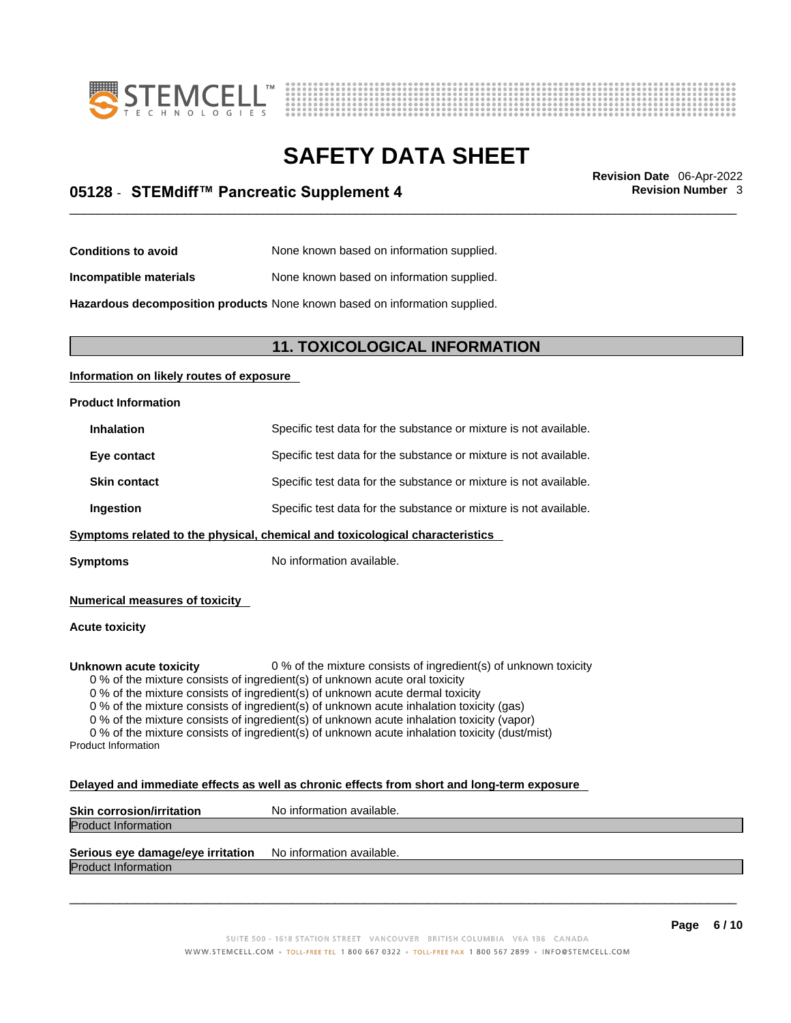



## \_\_\_\_\_\_\_\_\_\_\_\_\_\_\_\_\_\_\_\_\_\_\_\_\_\_\_\_\_\_\_\_\_\_\_\_\_\_\_\_\_\_\_\_\_\_\_\_\_\_\_\_\_\_\_\_\_\_\_\_\_\_\_\_\_\_\_\_\_\_\_\_\_\_\_\_\_\_\_\_\_\_\_\_\_\_\_\_\_\_\_\_\_ **Revision Date** 06-Apr-2022 **05128** - **STEMdiff™ Pancreatic Supplement 4 Revision Number** 3

**Conditions to avoid** None known based on information supplied.

**Incompatible materials** None known based on information supplied.

**Hazardous decomposition products** None known based on information supplied.

### **11. TOXICOLOGICAL INFORMATION**

### **Information on likely routes of exposure**

#### **Product Information**

| <b>Inhalation</b>   | Specific test data for the substance or mixture is not available. |
|---------------------|-------------------------------------------------------------------|
| Eye contact         | Specific test data for the substance or mixture is not available. |
| <b>Skin contact</b> | Specific test data for the substance or mixture is not available. |
| Ingestion           | Specific test data for the substance or mixture is not available. |
|                     |                                                                   |

**Symptoms** related to the physical, chemical and toxicological characteristics

**Symptoms** No information available.

**Numerical measures of toxicity**

#### **Acute toxicity**

**Unknown acute toxicity** 0 % of the mixture consists of ingredient(s) of unknown toxicity

0 % of the mixture consists of ingredient(s) of unknown acute oral toxicity

0 % of the mixture consists of ingredient(s) of unknown acute dermal toxicity

0 % of the mixture consists of ingredient(s) of unknown acute inhalation toxicity (gas)

0 % of the mixture consists of ingredient(s) of unknown acute inhalation toxicity (vapor)

0 % of the mixture consists of ingredient(s) of unknown acute inhalation toxicity (dust/mist) Product Information

#### **Delayed and immediate effects as well as chronic effects from short and long-term exposure**

| <b>Skin corrosion/irritation</b> | No information available. |
|----------------------------------|---------------------------|
| <b>Product Information</b>       |                           |
|                                  |                           |

### **Serious eye damage/eye irritation** No information available.

Product Information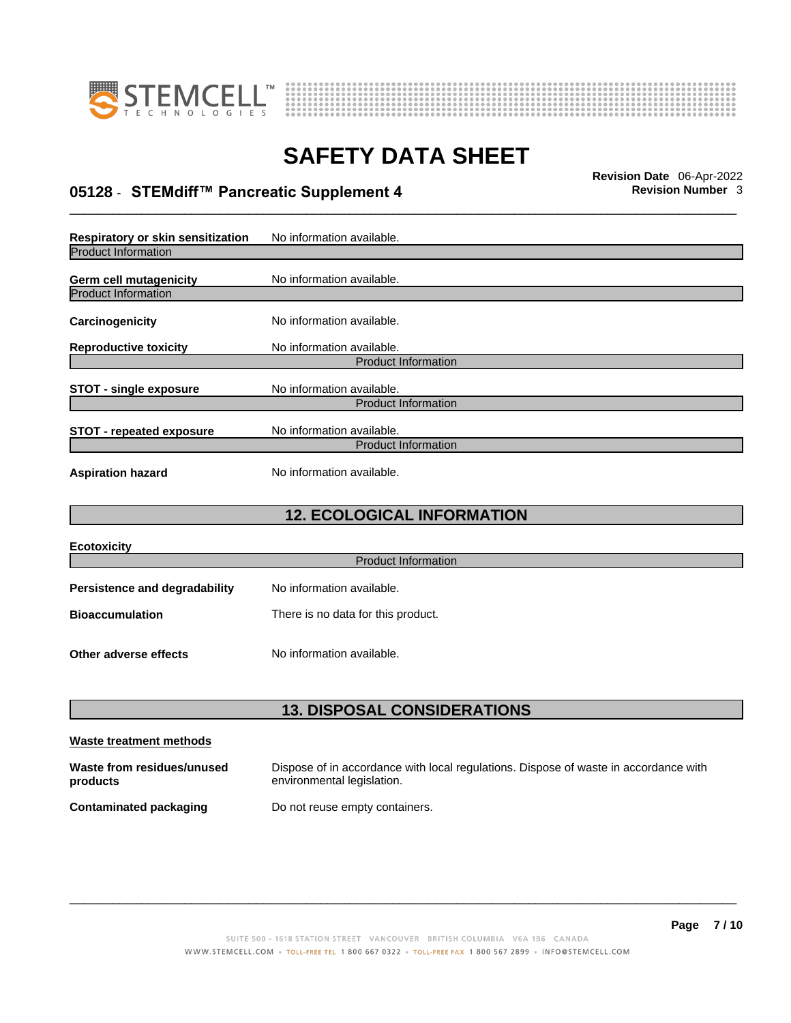



## \_\_\_\_\_\_\_\_\_\_\_\_\_\_\_\_\_\_\_\_\_\_\_\_\_\_\_\_\_\_\_\_\_\_\_\_\_\_\_\_\_\_\_\_\_\_\_\_\_\_\_\_\_\_\_\_\_\_\_\_\_\_\_\_\_\_\_\_\_\_\_\_\_\_\_\_\_\_\_\_\_\_\_\_\_\_\_\_\_\_\_\_\_ **Revision Date** 06-Apr-2022 **05128** - **STEMdiff™ Pancreatic Supplement 4 Revision Number** 3

**Respiratory or skin sensitization** No information available. Product Information **Germ cell mutagenicity** No information available. Product Information **Carcinogenicity** No information available. **Reproductive toxicity** No information available. Product Information **STOT** - single exposure<br>
No information available. Product Information **STOT** - **repeated exposure** No information available. Product Information **Aspiration hazard** No information available.

## **12. ECOLOGICAL INFORMATION**

| <b>Ecotoxicity</b>                   |                                    |  |
|--------------------------------------|------------------------------------|--|
| <b>Product Information</b>           |                                    |  |
| <b>Persistence and degradability</b> | No information available.          |  |
| <b>Bioaccumulation</b>               | There is no data for this product. |  |
| Other adverse effects                | No information available.          |  |

## **13. DISPOSAL CONSIDERATIONS**

| Waste treatment methods                |                                                                                                                    |
|----------------------------------------|--------------------------------------------------------------------------------------------------------------------|
| Waste from residues/unused<br>products | Dispose of in accordance with local regulations. Dispose of waste in accordance with<br>environmental legislation. |
| Contaminated packaging                 | Do not reuse empty containers.                                                                                     |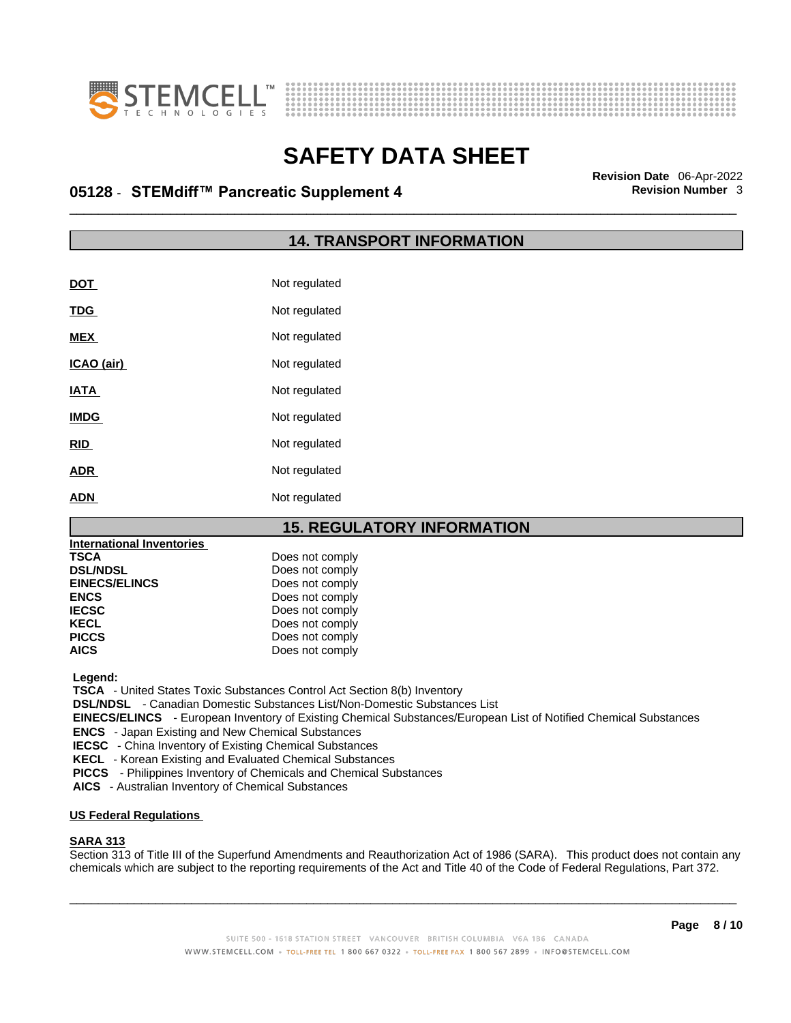



## \_\_\_\_\_\_\_\_\_\_\_\_\_\_\_\_\_\_\_\_\_\_\_\_\_\_\_\_\_\_\_\_\_\_\_\_\_\_\_\_\_\_\_\_\_\_\_\_\_\_\_\_\_\_\_\_\_\_\_\_\_\_\_\_\_\_\_\_\_\_\_\_\_\_\_\_\_\_\_\_\_\_\_\_\_\_\_\_\_\_\_\_\_ **Revision Date** 06-Apr-2022 **05128** - **STEMdiff™ Pancreatic Supplement 4 Revision Number** 3

## **14. TRANSPORT INFORMATION**

| <b>DOT</b>  | Not regulated |
|-------------|---------------|
| <b>TDG</b>  | Not regulated |
| <b>MEX</b>  | Not regulated |
| ICAO (air)  | Not regulated |
| <b>IATA</b> | Not regulated |
| <b>IMDG</b> | Not regulated |
| <b>RID</b>  | Not regulated |
| <b>ADR</b>  | Not regulated |
| <b>ADN</b>  | Not regulated |

## **15. REGULATORY INFORMATION**

| <b>International Inventories</b> |                 |  |
|----------------------------------|-----------------|--|
| <b>TSCA</b>                      | Does not comply |  |
| <b>DSL/NDSL</b>                  | Does not comply |  |
| <b>EINECS/ELINCS</b>             | Does not comply |  |
| <b>ENCS</b>                      | Does not comply |  |
| <b>IECSC</b>                     | Does not comply |  |
| <b>KECL</b>                      | Does not comply |  |
| <b>PICCS</b>                     | Does not comply |  |
| <b>AICS</b>                      | Does not comply |  |

 **Legend:** 

 **TSCA** - United States Toxic Substances Control Act Section 8(b) Inventory

 **DSL/NDSL** - Canadian Domestic Substances List/Non-Domestic Substances List

 **EINECS/ELINCS** - European Inventory of Existing Chemical Substances/European List of Notified Chemical Substances

 **ENCS** - Japan Existing and New Chemical Substances

 **IECSC** - China Inventory of Existing Chemical Substances

 **KECL** - Korean Existing and Evaluated Chemical Substances

 **PICCS** - Philippines Inventory of Chemicals and Chemical Substances

 **AICS** - Australian Inventory of Chemical Substances

#### **US Federal Regulations**

#### **SARA 313**

Section 313 of Title III of the Superfund Amendments and Reauthorization Act of 1986 (SARA). This product does not contain any chemicals which are subject to the reporting requirements of the Act and Title 40 of the Code of Federal Regulations, Part 372.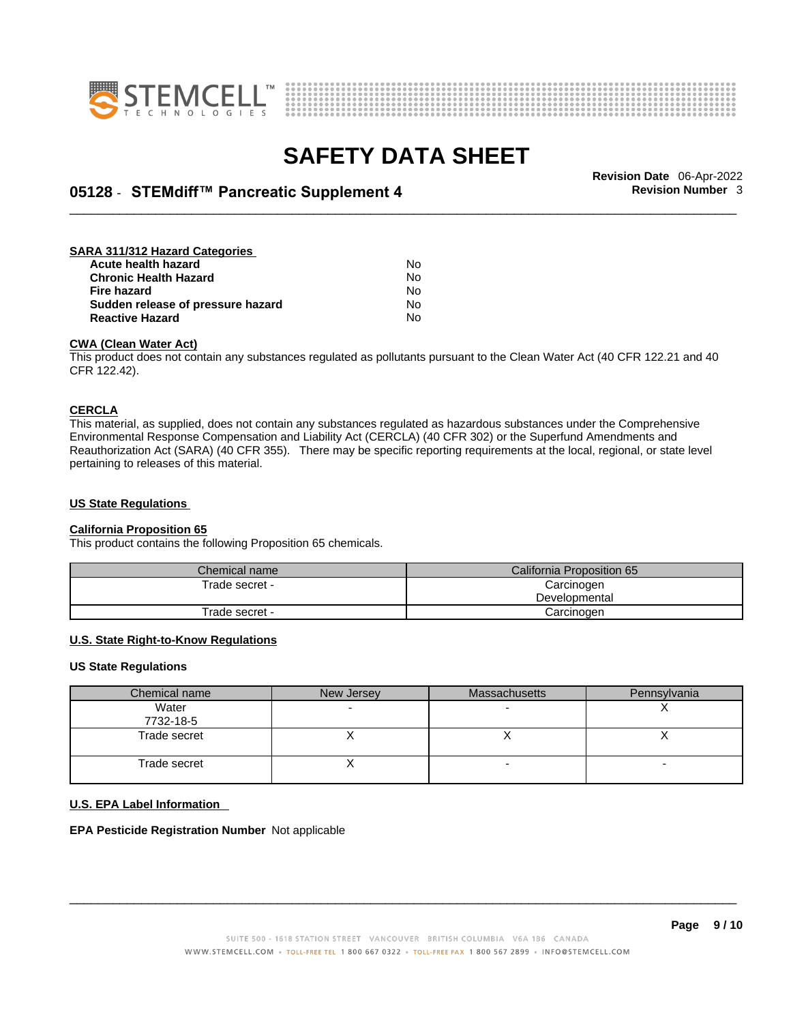



## \_\_\_\_\_\_\_\_\_\_\_\_\_\_\_\_\_\_\_\_\_\_\_\_\_\_\_\_\_\_\_\_\_\_\_\_\_\_\_\_\_\_\_\_\_\_\_\_\_\_\_\_\_\_\_\_\_\_\_\_\_\_\_\_\_\_\_\_\_\_\_\_\_\_\_\_\_\_\_\_\_\_\_\_\_\_\_\_\_\_\_\_\_ **Revision Date** 06-Apr-2022 **05128** - **STEMdiff™ Pancreatic Supplement 4 Revision Number** 3

#### **SARA 311/312 Hazard Categories Acute health hazard** No **Chronic Health Hazard No. 1996 12:33 No. 1996 12:34 No. 1996 12:34 No. 1996 12:34 No. 1996 12:34 No. 1999 12:34 No. 1999 12:34 No. 1999 12:34 No. 1999 12:34 No. 1999 12:34 No. 1999 12:34 No. 1999 12:34 No. 1999 12:34 No Fire hazard** No<br>**Sudden release of pressure hazard No** No **Sudden release of pressure hazard Reactive Hazard** No

#### **CWA** (Clean Water Act)

This product does not contain any substances regulated as pollutants pursuant to the Clean Water Act (40 CFR 122.21 and 40 CFR 122.42).

#### **CERCLA**

This material, as supplied, does not contain any substances regulated as hazardous substances under the Comprehensive Environmental Response Compensation and Liability Act (CERCLA) (40 CFR 302) or the Superfund Amendments and Reauthorization Act (SARA) (40 CFR 355). There may be specific reporting requirements at the local, regional, or state level pertaining to releases of this material.

#### **US State Regulations**

#### **California Proposition 65**

This product contains the following Proposition 65 chemicals.

| Chemical name  | California Proposition 65 |  |
|----------------|---------------------------|--|
| Trade secret - | Carcinogen                |  |
|                | Developmental             |  |
| Trade secret - | Carcinogen                |  |

### **U.S. State Right-to-Know Regulations**

#### **US State Regulations**

| Chemical name      | New Jersey | <b>Massachusetts</b> | Pennsylvania |
|--------------------|------------|----------------------|--------------|
| Water<br>7732-18-5 |            |                      |              |
| Trade secret       |            |                      |              |
| Trade secret       |            |                      |              |

#### **U.S. EPA Label Information**

**EPA Pesticide Registration Number** Not applicable